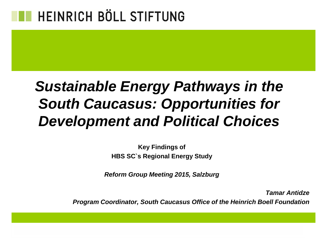### *Sustainable Energy Pathways in the South Caucasus: Opportunities for Development and Political Choices*

**Key Findings of HBS SC`s Regional Energy Study**

*Reform Group Meeting 2015, Salzburg* 

*Tamar Antidze*

*Program Coordinator, South Caucasus Office of the Heinrich Boell Foundation*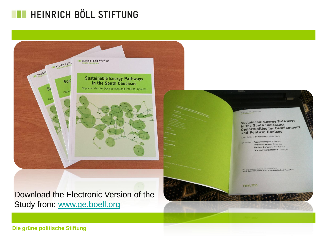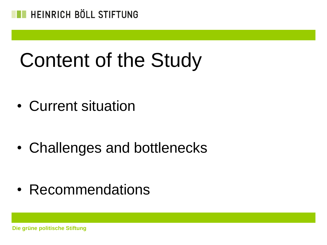

# Content of the Study

• Current situation

• Challenges and bottlenecks

• Recommendations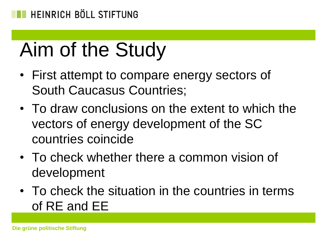# Aim of the Study

- First attempt to compare energy sectors of South Caucasus Countries;
- To draw conclusions on the extent to which the vectors of energy development of the SC countries coincide
- To check whether there a common vision of development
- To check the situation in the countries in terms of RE and EE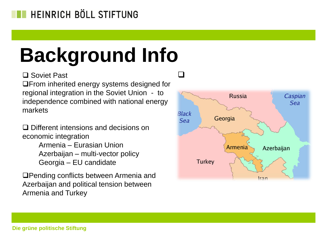# **Background Info**

□ Soviet Past

**QFrom inherited energy systems designed for** regional integration in the Soviet Union - to independence combined with national energy markets

□ Different intensions and decisions on economic integration

> Armenia – Eurasian Union Azerbaijan – multi-vector policy Georgia – EU candidate

**QPending conflicts between Armenia and** Azerbaijan and political tension between Armenia and Turkey



 $\Box$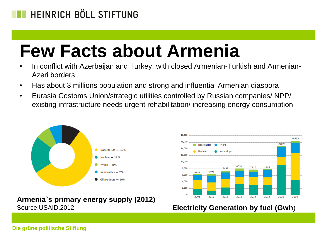### **Few Facts about Armenia**

- In conflict with Azerbaijan and Turkey, with closed Armenian-Turkish and Armenian-Azeri borders
- Has about 3 millions population and strong and influential Armenian diaspora
- Eurasia Costoms Union/strategic utilities controlled by Russian companies/ NPP/ existing infrastructure needs urgent rehabilitation/ increasing energy consumption



**Armenia`s primary energy supply (2012)** Source:USAID,2012 **Electricity Generation by fuel (Gwh**)

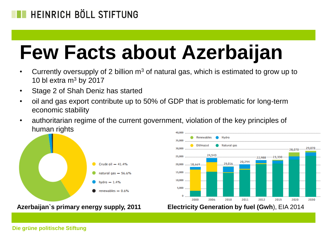# **Few Facts about Azerbaijan**

- Currently oversupply of 2 billion  $m<sup>3</sup>$  of natural gas, which is estimated to grow up to 10 bl extra  $m<sup>3</sup>$  by 2017
- Stage 2 of Shah Deniz has started
- oil and gas export contribute up to 50% of GDP that is problematic for long-term economic stability
- authoritarian regime of the current government, violation of the key principles of human rights 40,000



Hydro Renewables 35,000 Oil/mazut Natural gas 30,000 29,070 28,070 24,543 25,000 22,988 ------ 23,330 20,294 19,016 20,000 .......18,669 15,000 10,000 5,000  $\Omega$ 2011 2012 2000 2006 2010 2015 2020 2030

**Azerbaijan`s primary energy supply, 2011 Electricity Generation by fuel (Gwh**), EIA 2014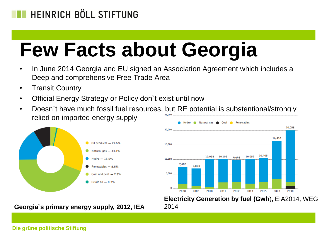# **Few Facts about Georgia**

- In June 2014 Georgia and EU signed an Association Agreement which includes a Deep and comprehensive Free Trade Area
- Transit Country
- Official Energy Strategy or Policy don`t exist until now
- Doesn't have much fossil fuel resources, but RE potential is substentional/strongly relied on imported energy supply



**Georgia`s primary energy supply, 2012, IEA**



**Electricity Generation by fuel (Gwh**), EIA2014, WEG 2014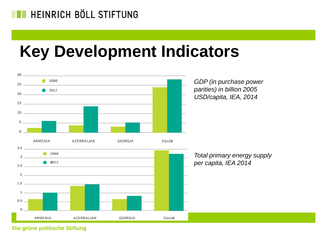### **Key Development Indicators**

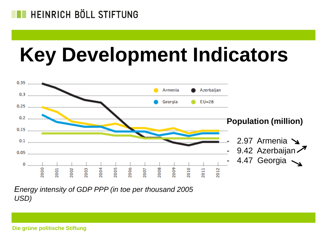# **Key Development Indicators**



*Energy intensity of GDP PPP (in toe per thousand 2005 USD)*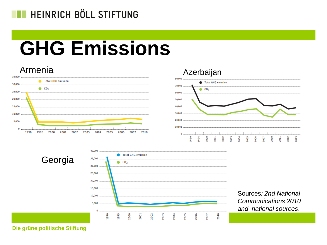# **GHG Emissions**







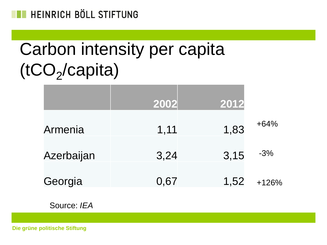

## Carbon intensity per capita (tCO<sub>2</sub>/capita)

|            | 2002 | 2012 |         |
|------------|------|------|---------|
| Armenia    | 1,11 | 1,83 | $+64%$  |
| Azerbaijan | 3,24 | 3,15 | $-3%$   |
| Georgia    | 0,67 | 1,52 | $+126%$ |

Source: *IEA*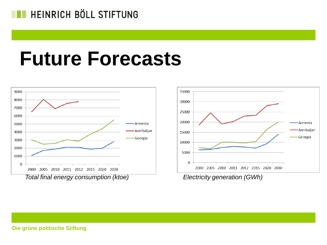## **Future Forecasts**



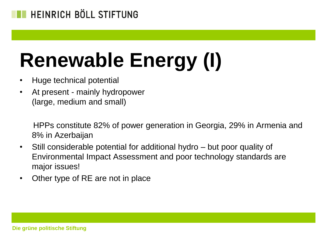# **Renewable Energy (I)**

- Huge technical potential
- At present mainly hydropower (large, medium and small)

 HPPs constitute 82% of power generation in Georgia, 29% in Armenia and 8% in Azerbaijan

- Still considerable potential for additional hydro but poor quality of Environmental Impact Assessment and poor technology standards are major issues!
- Other type of RE are not in place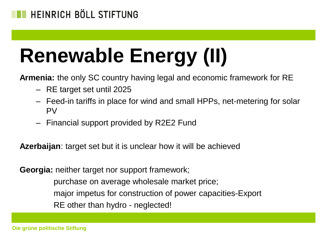# **Renewable Energy (II)**

**Armenia:** the only SC country having legal and economic framework for RE

- RE target set until 2025
- Feed-in tariffs in place for wind and small HPPs, net-metering for solar PV
- Financial support provided by R2E2 Fund

**Azerbaijan**: target set but it is unclear how it will be achieved

**Georgia:** neither target nor support framework;

 purchase on average wholesale market price; major impetus for construction of power capacities-Export RE other than hydro - neglected!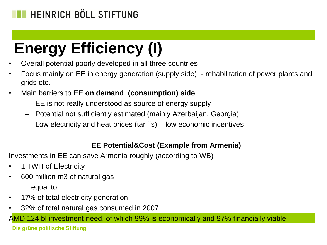### **Energy Efficiency (I)**

- Overall potential poorly developed in all three countries
- Focus mainly on EE in energy generation (supply side) rehabilitation of power plants and grids etc.
- Main barriers to **EE on demand (consumption) side**
	- EE is not really understood as source of energy supply
	- Potential not sufficiently estimated (mainly Azerbaijan, Georgia)
	- Low electricity and heat prices (tariffs) low economic incentives

#### **EE Potential&Cost (Example from Armenia)**

Investments in EE can save Armenia roughly (according to WB)

- 1 TWH of Electricity
- 600 million m3 of natural gas equal to
- 17% of total electricity generation
- 32% of total natural gas consumed in 2007

AMD 124 bl investment need, of which 99% is economically and 97% financially viable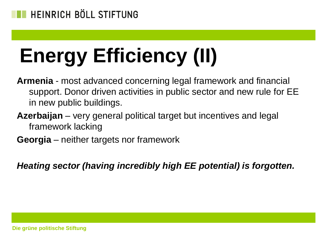# **Energy Efficiency (II)**

- **Armenia** most advanced concerning legal framework and financial support. Donor driven activities in public sector and new rule for EE in new public buildings.
- **Azerbaijan** very general political target but incentives and legal framework lacking
- **Georgia** neither targets nor framework

*Heating sector (having incredibly high EE potential) is forgotten.*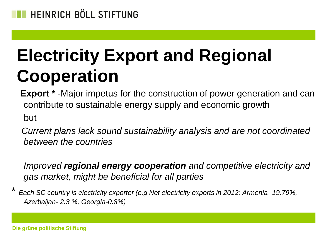

### **Electricity Export and Regional Cooperation**

 **Export \*** -Major impetus for the construction of power generation and can contribute to sustainable energy supply and economic growth but

 *Current plans lack sound sustainability analysis and are not coordinated between the countries*

*Improved regional energy cooperation and competitive electricity and gas market, might be beneficial for all parties*

\* *Each SC country is electricity exporter (e.g Net electricity exports in 2012: Armenia- 19.79%, Azerbaijan- 2.3 %, Georgia-0.8%)*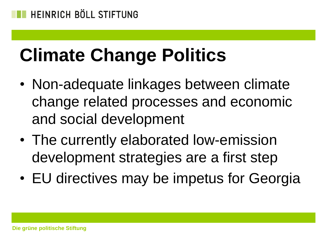# **Climate Change Politics**

- Non-adequate linkages between climate change related processes and economic and social development
- The currently elaborated low-emission development strategies are a first step
- EU directives may be impetus for Georgia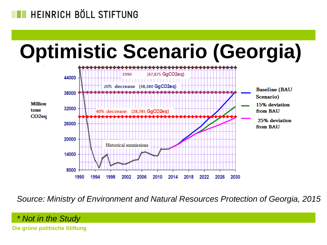# **Optimistic Scenario (Georgia)**



*Source: Ministry of Environment and Natural Resources Protection of Georgia, 2015*

*\* Not in the Study*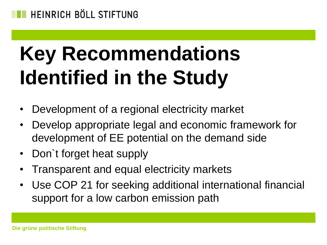# **Key Recommendations Identified in the Study**

- Development of a regional electricity market
- Develop appropriate legal and economic framework for development of EE potential on the demand side
- Don`t forget heat supply
- Transparent and equal electricity markets
- Use COP 21 for seeking additional international financial support for a low carbon emission path